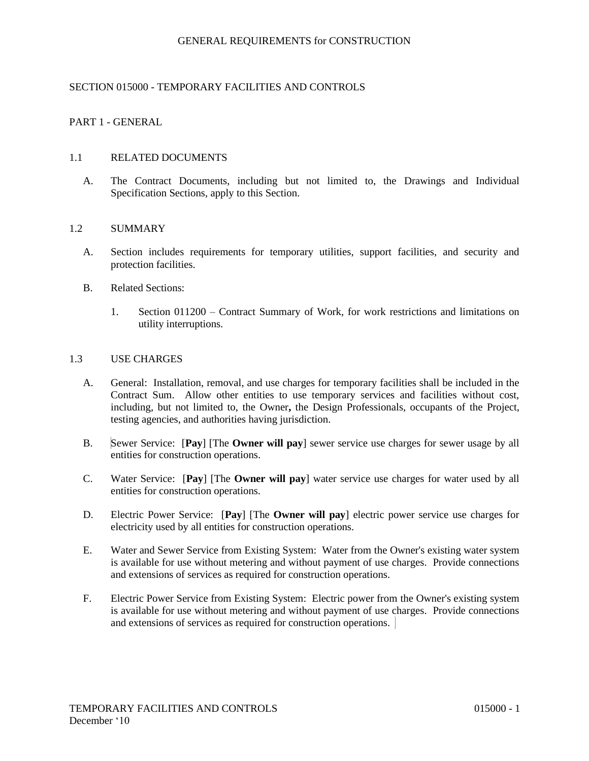## SECTION 015000 - TEMPORARY FACILITIES AND CONTROLS

### PART 1 - GENERAL

#### 1.1 RELATED DOCUMENTS

A. The Contract Documents, including but not limited to, the Drawings and Individual Specification Sections, apply to this Section.

#### 1.2 SUMMARY

- A. Section includes requirements for temporary utilities, support facilities, and security and protection facilities.
- B. Related Sections:
	- 1. Section 011200 Contract Summary of Work, for work restrictions and limitations on utility interruptions.

### 1.3 USE CHARGES

- A. General: Installation, removal, and use charges for temporary facilities shall be included in the Contract Sum. Allow other entities to use temporary services and facilities without cost, including, but not limited to, the Owner**,** the Design Professionals, occupants of the Project, testing agencies, and authorities having jurisdiction.
- B. Sewer Service: [**Pay**] [The **Owner will pay**] sewer service use charges for sewer usage by all entities for construction operations.
- C. Water Service: [**Pay**] [The **Owner will pay**] water service use charges for water used by all entities for construction operations.
- D. Electric Power Service: [**Pay**] [The **Owner will pay**] electric power service use charges for electricity used by all entities for construction operations.
- E. Water and Sewer Service from Existing System: Water from the Owner's existing water system is available for use without metering and without payment of use charges. Provide connections and extensions of services as required for construction operations.
- F. Electric Power Service from Existing System: Electric power from the Owner's existing system is available for use without metering and without payment of use charges. Provide connections and extensions of services as required for construction operations.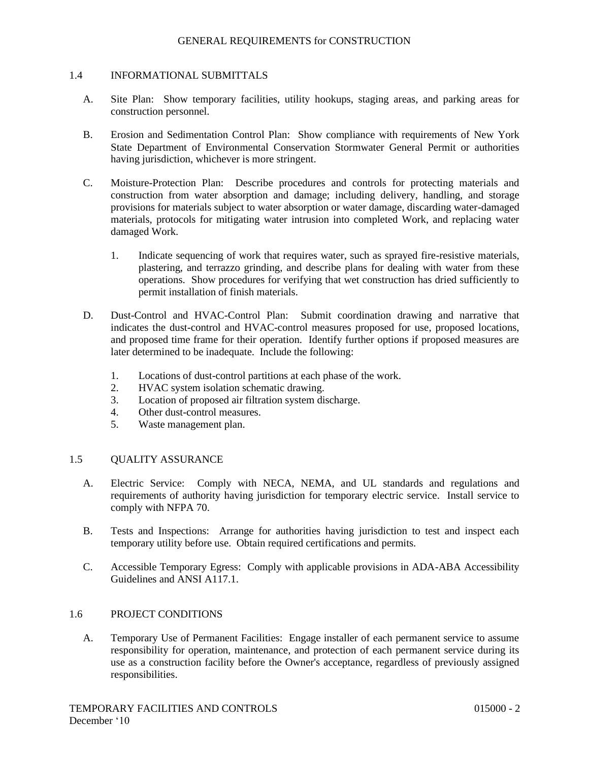#### 1.4 INFORMATIONAL SUBMITTALS

- A. Site Plan: Show temporary facilities, utility hookups, staging areas, and parking areas for construction personnel.
- B. Erosion and Sedimentation Control Plan: Show compliance with requirements of New York State Department of Environmental Conservation Stormwater General Permit or authorities having jurisdiction, whichever is more stringent.
- C. Moisture-Protection Plan: Describe procedures and controls for protecting materials and construction from water absorption and damage; including delivery, handling, and storage provisions for materials subject to water absorption or water damage, discarding water-damaged materials, protocols for mitigating water intrusion into completed Work, and replacing water damaged Work.
	- 1. Indicate sequencing of work that requires water, such as sprayed fire-resistive materials, plastering, and terrazzo grinding, and describe plans for dealing with water from these operations. Show procedures for verifying that wet construction has dried sufficiently to permit installation of finish materials.
- D. Dust-Control and HVAC-Control Plan: Submit coordination drawing and narrative that indicates the dust-control and HVAC-control measures proposed for use, proposed locations, and proposed time frame for their operation. Identify further options if proposed measures are later determined to be inadequate. Include the following:
	- 1. Locations of dust-control partitions at each phase of the work.
	- 2. HVAC system isolation schematic drawing.
	- 3. Location of proposed air filtration system discharge.
	- 4. Other dust-control measures.
	- 5. Waste management plan.

### 1.5 QUALITY ASSURANCE

- A. Electric Service: Comply with NECA, NEMA, and UL standards and regulations and requirements of authority having jurisdiction for temporary electric service. Install service to comply with NFPA 70.
- B. Tests and Inspections: Arrange for authorities having jurisdiction to test and inspect each temporary utility before use. Obtain required certifications and permits.
- C. Accessible Temporary Egress: Comply with applicable provisions in ADA-ABA Accessibility Guidelines and ANSI A117.1.

### 1.6 PROJECT CONDITIONS

A. Temporary Use of Permanent Facilities: Engage installer of each permanent service to assume responsibility for operation, maintenance, and protection of each permanent service during its use as a construction facility before the Owner's acceptance, regardless of previously assigned responsibilities.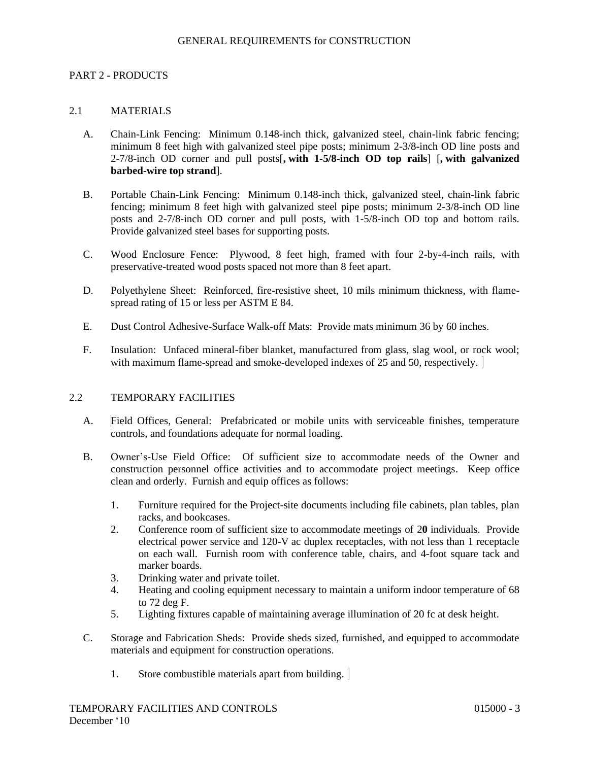### PART 2 - PRODUCTS

### 2.1 MATERIALS

- A. Chain-Link Fencing: Minimum 0.148-inch thick, galvanized steel, chain-link fabric fencing; minimum 8 feet high with galvanized steel pipe posts; minimum 2-3/8-inch OD line posts and 2-7/8-inch OD corner and pull posts[**, with 1-5/8-inch OD top rails**] [**, with galvanized barbed-wire top strand**].
- B. Portable Chain-Link Fencing: Minimum 0.148-inch thick, galvanized steel, chain-link fabric fencing; minimum 8 feet high with galvanized steel pipe posts; minimum 2-3/8-inch OD line posts and 2-7/8-inch OD corner and pull posts, with 1-5/8-inch OD top and bottom rails. Provide galvanized steel bases for supporting posts.
- C. Wood Enclosure Fence: Plywood, 8 feet high, framed with four 2-by-4-inch rails, with preservative-treated wood posts spaced not more than 8 feet apart.
- D. Polyethylene Sheet: Reinforced, fire-resistive sheet, 10 mils minimum thickness, with flamespread rating of 15 or less per ASTM E 84.
- E. Dust Control Adhesive-Surface Walk-off Mats: Provide mats minimum 36 by 60 inches.
- F. Insulation: Unfaced mineral-fiber blanket, manufactured from glass, slag wool, or rock wool; with maximum flame-spread and smoke-developed indexes of 25 and 50, respectively.

### 2.2 TEMPORARY FACILITIES

- A. Field Offices, General: Prefabricated or mobile units with serviceable finishes, temperature controls, and foundations adequate for normal loading.
- B. Owner's-Use Field Office: Of sufficient size to accommodate needs of the Owner and construction personnel office activities and to accommodate project meetings. Keep office clean and orderly. Furnish and equip offices as follows:
	- 1. Furniture required for the Project-site documents including file cabinets, plan tables, plan racks, and bookcases.
	- 2. Conference room of sufficient size to accommodate meetings of 2**0** individuals. Provide electrical power service and 120-V ac duplex receptacles, with not less than 1 receptacle on each wall. Furnish room with conference table, chairs, and 4-foot square tack and marker boards.
	- 3. Drinking water and private toilet.
	- 4. Heating and cooling equipment necessary to maintain a uniform indoor temperature of 68 to 72 deg F.
	- 5. Lighting fixtures capable of maintaining average illumination of 20 fc at desk height.
- C. Storage and Fabrication Sheds: Provide sheds sized, furnished, and equipped to accommodate materials and equipment for construction operations.
	- 1. Store combustible materials apart from building.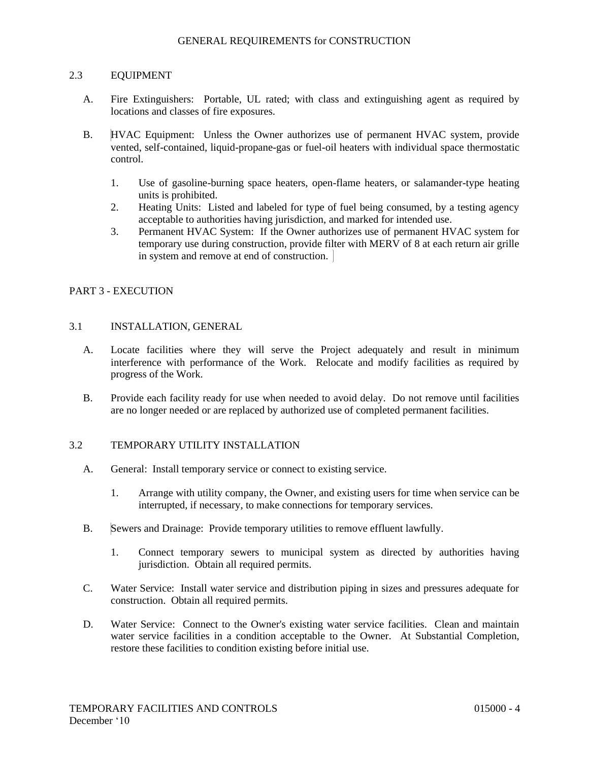### 2.3 EQUIPMENT

- A. Fire Extinguishers: Portable, UL rated; with class and extinguishing agent as required by locations and classes of fire exposures.
- B. HVAC Equipment: Unless the Owner authorizes use of permanent HVAC system, provide vented, self-contained, liquid-propane-gas or fuel-oil heaters with individual space thermostatic control.
	- 1. Use of gasoline-burning space heaters, open-flame heaters, or salamander-type heating units is prohibited.
	- 2. Heating Units: Listed and labeled for type of fuel being consumed, by a testing agency acceptable to authorities having jurisdiction, and marked for intended use.
	- 3. Permanent HVAC System: If the Owner authorizes use of permanent HVAC system for temporary use during construction, provide filter with MERV of 8 at each return air grille in system and remove at end of construction.

### PART 3 - EXECUTION

### 3.1 INSTALLATION, GENERAL

- A. Locate facilities where they will serve the Project adequately and result in minimum interference with performance of the Work. Relocate and modify facilities as required by progress of the Work.
- B. Provide each facility ready for use when needed to avoid delay. Do not remove until facilities are no longer needed or are replaced by authorized use of completed permanent facilities.

# 3.2 TEMPORARY UTILITY INSTALLATION

- A. General: Install temporary service or connect to existing service.
	- 1. Arrange with utility company, the Owner, and existing users for time when service can be interrupted, if necessary, to make connections for temporary services.
- B. Sewers and Drainage: Provide temporary utilities to remove effluent lawfully.
	- 1. Connect temporary sewers to municipal system as directed by authorities having jurisdiction. Obtain all required permits.
- C. Water Service: Install water service and distribution piping in sizes and pressures adequate for construction. Obtain all required permits.
- D. Water Service: Connect to the Owner's existing water service facilities. Clean and maintain water service facilities in a condition acceptable to the Owner. At Substantial Completion, restore these facilities to condition existing before initial use.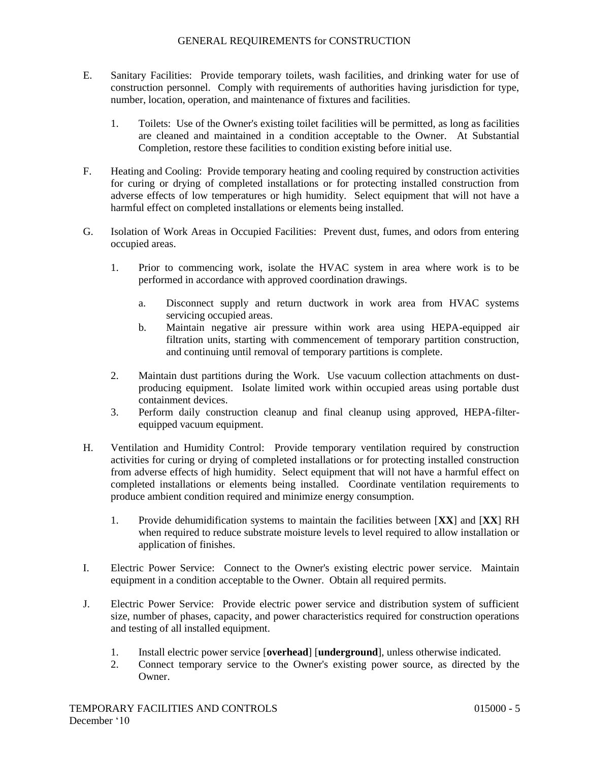- E. Sanitary Facilities: Provide temporary toilets, wash facilities, and drinking water for use of construction personnel. Comply with requirements of authorities having jurisdiction for type, number, location, operation, and maintenance of fixtures and facilities.
	- 1. Toilets: Use of the Owner's existing toilet facilities will be permitted, as long as facilities are cleaned and maintained in a condition acceptable to the Owner. At Substantial Completion, restore these facilities to condition existing before initial use.
- F. Heating and Cooling: Provide temporary heating and cooling required by construction activities for curing or drying of completed installations or for protecting installed construction from adverse effects of low temperatures or high humidity. Select equipment that will not have a harmful effect on completed installations or elements being installed.
- G. Isolation of Work Areas in Occupied Facilities: Prevent dust, fumes, and odors from entering occupied areas.
	- 1. Prior to commencing work, isolate the HVAC system in area where work is to be performed in accordance with approved coordination drawings.
		- a. Disconnect supply and return ductwork in work area from HVAC systems servicing occupied areas.
		- b. Maintain negative air pressure within work area using HEPA-equipped air filtration units, starting with commencement of temporary partition construction, and continuing until removal of temporary partitions is complete.
	- 2. Maintain dust partitions during the Work. Use vacuum collection attachments on dustproducing equipment. Isolate limited work within occupied areas using portable dust containment devices.
	- 3. Perform daily construction cleanup and final cleanup using approved, HEPA-filterequipped vacuum equipment.
- H. Ventilation and Humidity Control: Provide temporary ventilation required by construction activities for curing or drying of completed installations or for protecting installed construction from adverse effects of high humidity. Select equipment that will not have a harmful effect on completed installations or elements being installed. Coordinate ventilation requirements to produce ambient condition required and minimize energy consumption.
	- 1. Provide dehumidification systems to maintain the facilities between [**XX**] and [**XX**] RH when required to reduce substrate moisture levels to level required to allow installation or application of finishes.
- I. Electric Power Service: Connect to the Owner's existing electric power service. Maintain equipment in a condition acceptable to the Owner. Obtain all required permits.
- J. Electric Power Service: Provide electric power service and distribution system of sufficient size, number of phases, capacity, and power characteristics required for construction operations and testing of all installed equipment.
	- 1. Install electric power service [**overhead**] [**underground**], unless otherwise indicated.
	- 2. Connect temporary service to the Owner's existing power source, as directed by the Owner.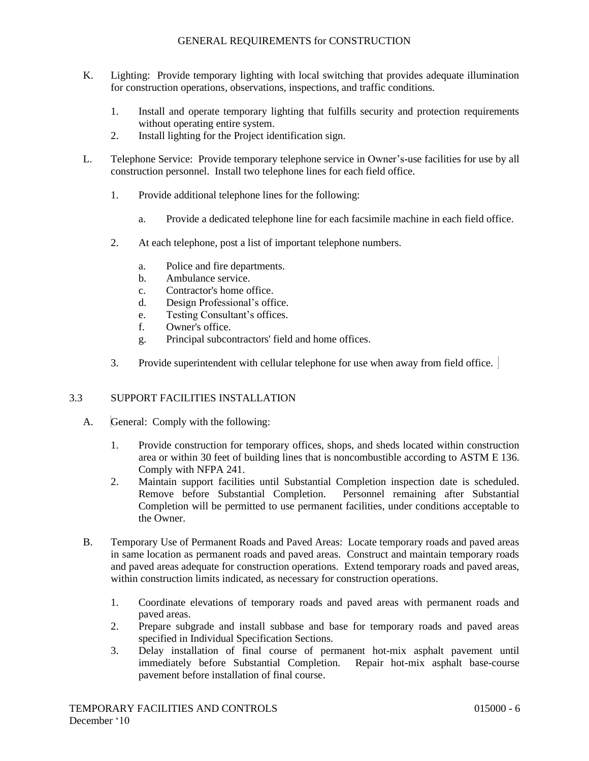- K. Lighting: Provide temporary lighting with local switching that provides adequate illumination for construction operations, observations, inspections, and traffic conditions.
	- 1. Install and operate temporary lighting that fulfills security and protection requirements without operating entire system.
	- 2. Install lighting for the Project identification sign.
- L. Telephone Service: Provide temporary telephone service in Owner's-use facilities for use by all construction personnel. Install two telephone lines for each field office.
	- 1. Provide additional telephone lines for the following:
		- a. Provide a dedicated telephone line for each facsimile machine in each field office.
	- 2. At each telephone, post a list of important telephone numbers.
		- a. Police and fire departments.
		- b. Ambulance service.
		- c. Contractor's home office.
		- d. Design Professional's office.
		- e. Testing Consultant's offices.
		- f. Owner's office.
		- g. Principal subcontractors' field and home offices.
	- 3. Provide superintendent with cellular telephone for use when away from field office.

# 3.3 SUPPORT FACILITIES INSTALLATION

- A. General: Comply with the following:
	- 1. Provide construction for temporary offices, shops, and sheds located within construction area or within 30 feet of building lines that is noncombustible according to ASTM E 136. Comply with NFPA 241.
	- 2. Maintain support facilities until Substantial Completion inspection date is scheduled. Remove before Substantial Completion. Personnel remaining after Substantial Completion will be permitted to use permanent facilities, under conditions acceptable to the Owner.
- B. Temporary Use of Permanent Roads and Paved Areas: Locate temporary roads and paved areas in same location as permanent roads and paved areas. Construct and maintain temporary roads and paved areas adequate for construction operations. Extend temporary roads and paved areas, within construction limits indicated, as necessary for construction operations.
	- 1. Coordinate elevations of temporary roads and paved areas with permanent roads and paved areas.
	- 2. Prepare subgrade and install subbase and base for temporary roads and paved areas specified in Individual Specification Sections.
	- 3. Delay installation of final course of permanent hot-mix asphalt pavement until immediately before Substantial Completion. Repair hot-mix asphalt base-course pavement before installation of final course.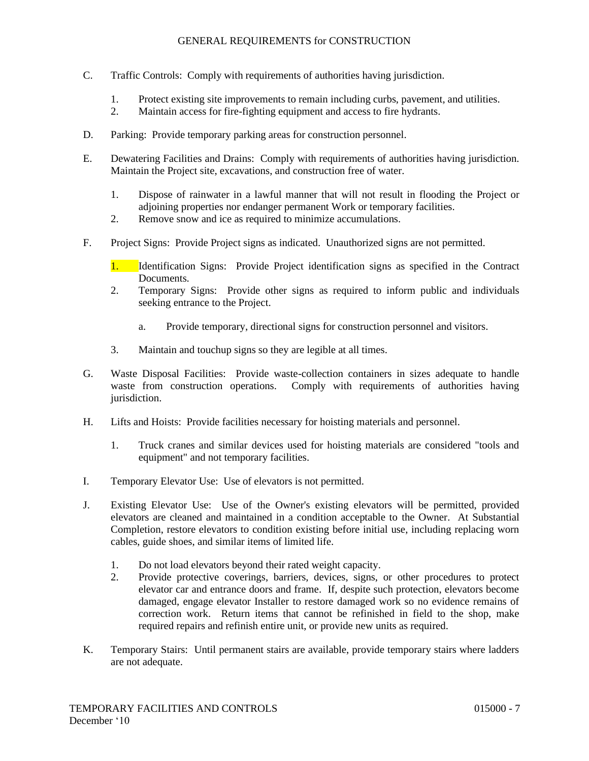- C. Traffic Controls: Comply with requirements of authorities having jurisdiction.
	- 1. Protect existing site improvements to remain including curbs, pavement, and utilities.
	- 2. Maintain access for fire-fighting equipment and access to fire hydrants.
- D. Parking: Provide temporary parking areas for construction personnel.
- E. Dewatering Facilities and Drains: Comply with requirements of authorities having jurisdiction. Maintain the Project site, excavations, and construction free of water.
	- 1. Dispose of rainwater in a lawful manner that will not result in flooding the Project or adjoining properties nor endanger permanent Work or temporary facilities.
	- 2. Remove snow and ice as required to minimize accumulations.
- F. Project Signs: Provide Project signs as indicated. Unauthorized signs are not permitted.
	- 1. Identification Signs: Provide Project identification signs as specified in the Contract Documents.
	- 2. Temporary Signs: Provide other signs as required to inform public and individuals seeking entrance to the Project.
		- a. Provide temporary, directional signs for construction personnel and visitors.
	- 3. Maintain and touchup signs so they are legible at all times.
- G. Waste Disposal Facilities: Provide waste-collection containers in sizes adequate to handle waste from construction operations. Comply with requirements of authorities having jurisdiction.
- H. Lifts and Hoists: Provide facilities necessary for hoisting materials and personnel.
	- 1. Truck cranes and similar devices used for hoisting materials are considered "tools and equipment" and not temporary facilities.
- I. Temporary Elevator Use: Use of elevators is not permitted.
- J. Existing Elevator Use: Use of the Owner's existing elevators will be permitted, provided elevators are cleaned and maintained in a condition acceptable to the Owner. At Substantial Completion, restore elevators to condition existing before initial use, including replacing worn cables, guide shoes, and similar items of limited life.
	- 1. Do not load elevators beyond their rated weight capacity.
	- 2. Provide protective coverings, barriers, devices, signs, or other procedures to protect elevator car and entrance doors and frame. If, despite such protection, elevators become damaged, engage elevator Installer to restore damaged work so no evidence remains of correction work. Return items that cannot be refinished in field to the shop, make required repairs and refinish entire unit, or provide new units as required.
- K. Temporary Stairs: Until permanent stairs are available, provide temporary stairs where ladders are not adequate.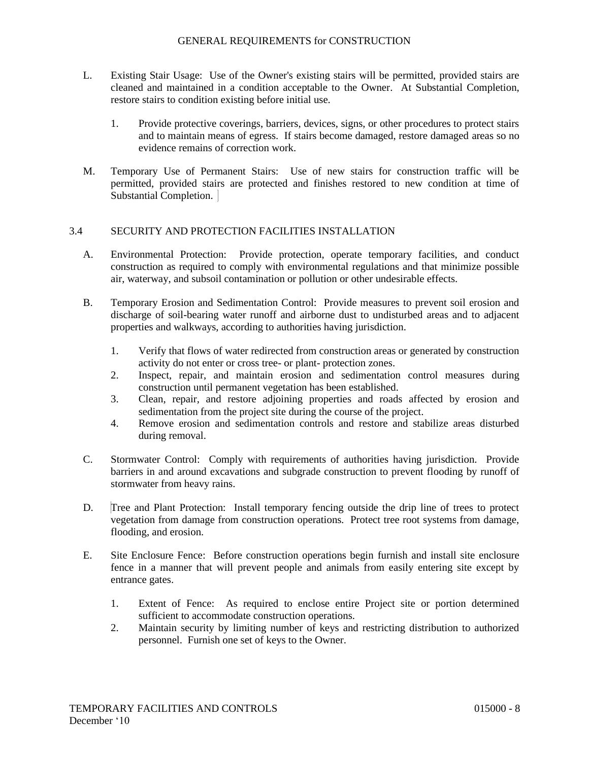- L. Existing Stair Usage: Use of the Owner's existing stairs will be permitted, provided stairs are cleaned and maintained in a condition acceptable to the Owner. At Substantial Completion, restore stairs to condition existing before initial use.
	- 1. Provide protective coverings, barriers, devices, signs, or other procedures to protect stairs and to maintain means of egress. If stairs become damaged, restore damaged areas so no evidence remains of correction work.
- M. Temporary Use of Permanent Stairs: Use of new stairs for construction traffic will be permitted, provided stairs are protected and finishes restored to new condition at time of Substantial Completion.

### 3.4 SECURITY AND PROTECTION FACILITIES INSTALLATION

- A. Environmental Protection: Provide protection, operate temporary facilities, and conduct construction as required to comply with environmental regulations and that minimize possible air, waterway, and subsoil contamination or pollution or other undesirable effects.
- B. Temporary Erosion and Sedimentation Control: Provide measures to prevent soil erosion and discharge of soil-bearing water runoff and airborne dust to undisturbed areas and to adjacent properties and walkways, according to authorities having jurisdiction.
	- 1. Verify that flows of water redirected from construction areas or generated by construction activity do not enter or cross tree- or plant- protection zones.
	- 2. Inspect, repair, and maintain erosion and sedimentation control measures during construction until permanent vegetation has been established.
	- 3. Clean, repair, and restore adjoining properties and roads affected by erosion and sedimentation from the project site during the course of the project.
	- 4. Remove erosion and sedimentation controls and restore and stabilize areas disturbed during removal.
- C. Stormwater Control: Comply with requirements of authorities having jurisdiction. Provide barriers in and around excavations and subgrade construction to prevent flooding by runoff of stormwater from heavy rains.
- D. Tree and Plant Protection: Install temporary fencing outside the drip line of trees to protect vegetation from damage from construction operations. Protect tree root systems from damage, flooding, and erosion.
- E. Site Enclosure Fence: Before construction operations begin furnish and install site enclosure fence in a manner that will prevent people and animals from easily entering site except by entrance gates.
	- 1. Extent of Fence: As required to enclose entire Project site or portion determined sufficient to accommodate construction operations.
	- 2. Maintain security by limiting number of keys and restricting distribution to authorized personnel. Furnish one set of keys to the Owner.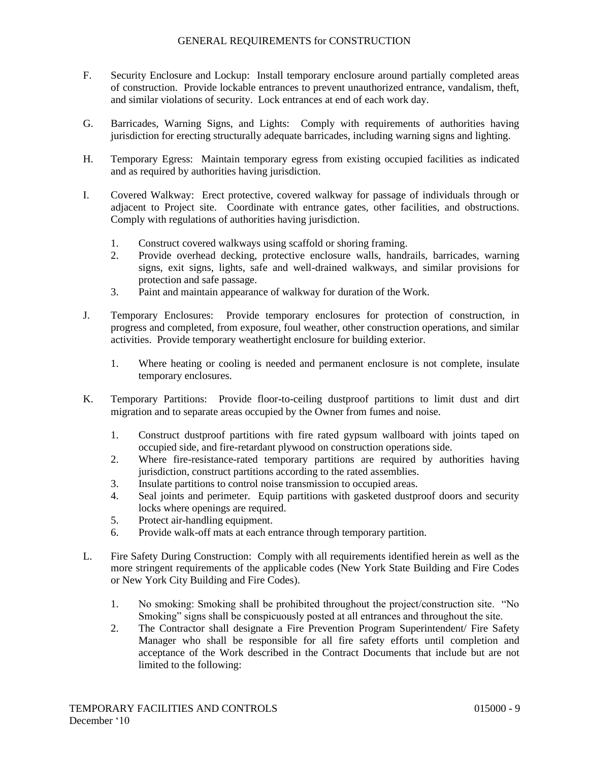- F. Security Enclosure and Lockup: Install temporary enclosure around partially completed areas of construction. Provide lockable entrances to prevent unauthorized entrance, vandalism, theft, and similar violations of security. Lock entrances at end of each work day.
- G. Barricades, Warning Signs, and Lights: Comply with requirements of authorities having jurisdiction for erecting structurally adequate barricades, including warning signs and lighting.
- H. Temporary Egress: Maintain temporary egress from existing occupied facilities as indicated and as required by authorities having jurisdiction.
- I. Covered Walkway: Erect protective, covered walkway for passage of individuals through or adjacent to Project site. Coordinate with entrance gates, other facilities, and obstructions. Comply with regulations of authorities having jurisdiction.
	- 1. Construct covered walkways using scaffold or shoring framing.
	- 2. Provide overhead decking, protective enclosure walls, handrails, barricades, warning signs, exit signs, lights, safe and well-drained walkways, and similar provisions for protection and safe passage.
	- 3. Paint and maintain appearance of walkway for duration of the Work.
- J. Temporary Enclosures: Provide temporary enclosures for protection of construction, in progress and completed, from exposure, foul weather, other construction operations, and similar activities. Provide temporary weathertight enclosure for building exterior.
	- 1. Where heating or cooling is needed and permanent enclosure is not complete, insulate temporary enclosures.
- K. Temporary Partitions: Provide floor-to-ceiling dustproof partitions to limit dust and dirt migration and to separate areas occupied by the Owner from fumes and noise.
	- 1. Construct dustproof partitions with fire rated gypsum wallboard with joints taped on occupied side, and fire-retardant plywood on construction operations side.
	- 2. Where fire-resistance-rated temporary partitions are required by authorities having jurisdiction, construct partitions according to the rated assemblies.
	- 3. Insulate partitions to control noise transmission to occupied areas.
	- 4. Seal joints and perimeter. Equip partitions with gasketed dustproof doors and security locks where openings are required.
	- 5. Protect air-handling equipment.
	- 6. Provide walk-off mats at each entrance through temporary partition.
- L. Fire Safety During Construction: Comply with all requirements identified herein as well as the more stringent requirements of the applicable codes (New York State Building and Fire Codes or New York City Building and Fire Codes).
	- 1. No smoking: Smoking shall be prohibited throughout the project/construction site. "No Smoking" signs shall be conspicuously posted at all entrances and throughout the site.
	- 2. The Contractor shall designate a Fire Prevention Program Superintendent/ Fire Safety Manager who shall be responsible for all fire safety efforts until completion and acceptance of the Work described in the Contract Documents that include but are not limited to the following: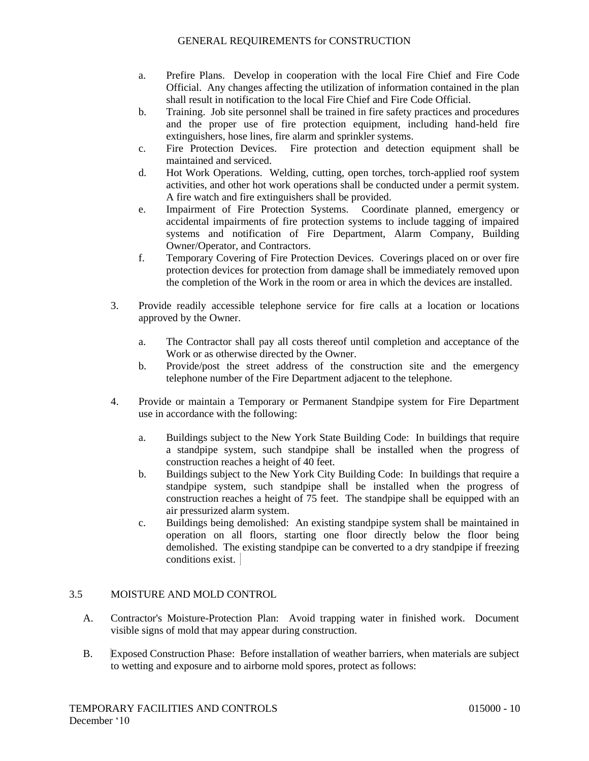- a. Prefire Plans. Develop in cooperation with the local Fire Chief and Fire Code Official. Any changes affecting the utilization of information contained in the plan shall result in notification to the local Fire Chief and Fire Code Official.
- b. Training. Job site personnel shall be trained in fire safety practices and procedures and the proper use of fire protection equipment, including hand-held fire extinguishers, hose lines, fire alarm and sprinkler systems.
- c. Fire Protection Devices. Fire protection and detection equipment shall be maintained and serviced.
- d. Hot Work Operations. Welding, cutting, open torches, torch-applied roof system activities, and other hot work operations shall be conducted under a permit system. A fire watch and fire extinguishers shall be provided.
- e. Impairment of Fire Protection Systems. Coordinate planned, emergency or accidental impairments of fire protection systems to include tagging of impaired systems and notification of Fire Department, Alarm Company, Building Owner/Operator, and Contractors.
- f. Temporary Covering of Fire Protection Devices. Coverings placed on or over fire protection devices for protection from damage shall be immediately removed upon the completion of the Work in the room or area in which the devices are installed.
- 3. Provide readily accessible telephone service for fire calls at a location or locations approved by the Owner.
	- a. The Contractor shall pay all costs thereof until completion and acceptance of the Work or as otherwise directed by the Owner.
	- b. Provide/post the street address of the construction site and the emergency telephone number of the Fire Department adjacent to the telephone.
- 4. Provide or maintain a Temporary or Permanent Standpipe system for Fire Department use in accordance with the following:
	- a. Buildings subject to the New York State Building Code: In buildings that require a standpipe system, such standpipe shall be installed when the progress of construction reaches a height of 40 feet.
	- b. Buildings subject to the New York City Building Code: In buildings that require a standpipe system, such standpipe shall be installed when the progress of construction reaches a height of 75 feet. The standpipe shall be equipped with an air pressurized alarm system.
	- c. Buildings being demolished: An existing standpipe system shall be maintained in operation on all floors, starting one floor directly below the floor being demolished. The existing standpipe can be converted to a dry standpipe if freezing conditions exist.

# 3.5 MOISTURE AND MOLD CONTROL

- A. Contractor's Moisture-Protection Plan: Avoid trapping water in finished work. Document visible signs of mold that may appear during construction.
- B. Exposed Construction Phase: Before installation of weather barriers, when materials are subject to wetting and exposure and to airborne mold spores, protect as follows: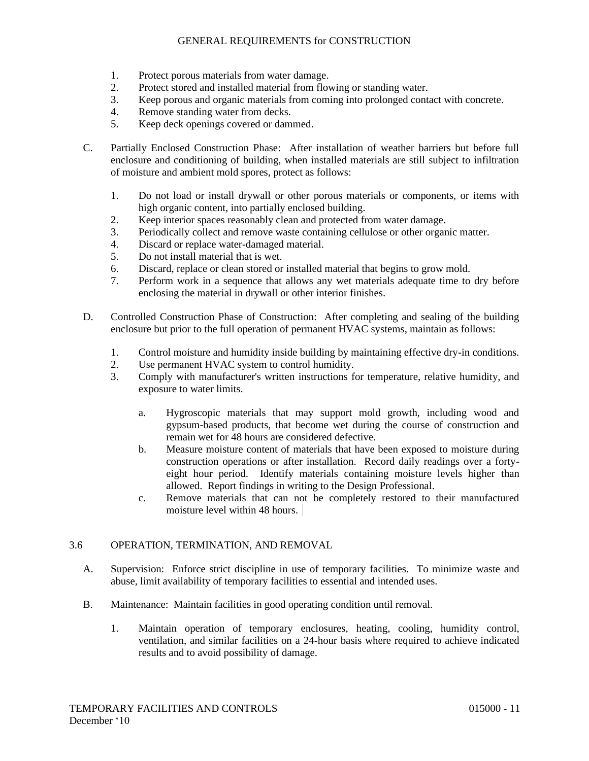- 1. Protect porous materials from water damage.
- 2. Protect stored and installed material from flowing or standing water.
- 3. Keep porous and organic materials from coming into prolonged contact with concrete.
- 4. Remove standing water from decks.
- 5. Keep deck openings covered or dammed.
- C. Partially Enclosed Construction Phase: After installation of weather barriers but before full enclosure and conditioning of building, when installed materials are still subject to infiltration of moisture and ambient mold spores, protect as follows:
	- 1. Do not load or install drywall or other porous materials or components, or items with high organic content, into partially enclosed building.
	- 2. Keep interior spaces reasonably clean and protected from water damage.
	- 3. Periodically collect and remove waste containing cellulose or other organic matter.
	- 4. Discard or replace water-damaged material.
	- 5. Do not install material that is wet.
	- 6. Discard, replace or clean stored or installed material that begins to grow mold.
	- 7. Perform work in a sequence that allows any wet materials adequate time to dry before enclosing the material in drywall or other interior finishes.
- D. Controlled Construction Phase of Construction: After completing and sealing of the building enclosure but prior to the full operation of permanent HVAC systems, maintain as follows:
	- 1. Control moisture and humidity inside building by maintaining effective dry-in conditions.
	- 2. Use permanent HVAC system to control humidity.
	- 3. Comply with manufacturer's written instructions for temperature, relative humidity, and exposure to water limits.
		- a. Hygroscopic materials that may support mold growth, including wood and gypsum-based products, that become wet during the course of construction and remain wet for 48 hours are considered defective.
		- b. Measure moisture content of materials that have been exposed to moisture during construction operations or after installation. Record daily readings over a fortyeight hour period. Identify materials containing moisture levels higher than allowed. Report findings in writing to the Design Professional.
		- c. Remove materials that can not be completely restored to their manufactured moisture level within 48 hours.

# 3.6 OPERATION, TERMINATION, AND REMOVAL

- A. Supervision: Enforce strict discipline in use of temporary facilities. To minimize waste and abuse, limit availability of temporary facilities to essential and intended uses.
- B. Maintenance: Maintain facilities in good operating condition until removal.
	- 1. Maintain operation of temporary enclosures, heating, cooling, humidity control, ventilation, and similar facilities on a 24-hour basis where required to achieve indicated results and to avoid possibility of damage.